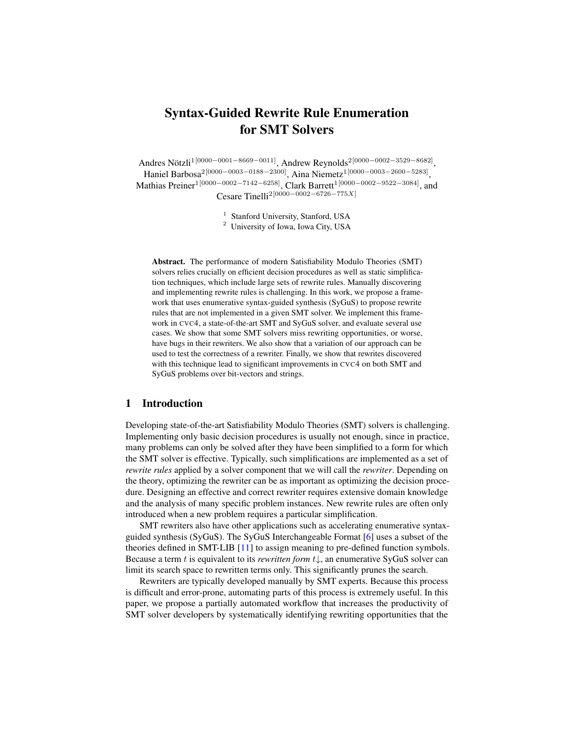# Syntax-Guided Rewrite Rule Enumeration for SMT Solvers

Andres Nötzli $^{1[0000-0001-8669-0011]},$  Andrew Reynolds $^{2[0000-0002-3529-8682]},$ Haniel Barbosa2[0000−0003−0188−2300], Aina Niemetz1[0000−0003−2600−5283] , Mathias Preiner1[0000−0002−7142−6258], Clark Barrett1[0000−0002−9522−3084], and Cesare Tinelli2[0000−0002−6726−775X]

<sup>1</sup> Stanford University, Stanford, USA

<sup>2</sup> University of Iowa, Iowa City, USA

Abstract. The performance of modern Satisfiability Modulo Theories (SMT) solvers relies crucially on efficient decision procedures as well as static simplification techniques, which include large sets of rewrite rules. Manually discovering and implementing rewrite rules is challenging. In this work, we propose a framework that uses enumerative syntax-guided synthesis (SyGuS) to propose rewrite rules that are not implemented in a given SMT solver. We implement this framework in CVC4, a state-of-the-art SMT and SyGuS solver, and evaluate several use cases. We show that some SMT solvers miss rewriting opportunities, or worse, have bugs in their rewriters. We also show that a variation of our approach can be used to test the correctness of a rewriter. Finally, we show that rewrites discovered with this technique lead to significant improvements in CVC4 on both SMT and SyGuS problems over bit-vectors and strings.

### 1 Introduction

Developing state-of-the-art Satisfiability Modulo Theories (SMT) solvers is challenging. Implementing only basic decision procedures is usually not enough, since in practice, many problems can only be solved after they have been simplified to a form for which the SMT solver is effective. Typically, such simplifications are implemented as a set of *rewrite rules* applied by a solver component that we will call the *rewriter*. Depending on the theory, optimizing the rewriter can be as important as optimizing the decision procedure. Designing an effective and correct rewriter requires extensive domain knowledge and the analysis of many specific problem instances. New rewrite rules are often only introduced when a new problem requires a particular simplification.

SMT rewriters also have other applications such as accelerating enumerative syntaxguided synthesis (SyGuS). The SyGuS Interchangeable Format [\[6\]](#page-15-0) uses a subset of the theories defined in SMT-LIB [\[11\]](#page-15-1) to assign meaning to pre-defined function symbols. Because a term t is equivalent to its *rewritten form* t↓, an enumerative SyGuS solver can limit its search space to rewritten terms only. This significantly prunes the search.

Rewriters are typically developed manually by SMT experts. Because this process is difficult and error-prone, automating parts of this process is extremely useful. In this paper, we propose a partially automated workflow that increases the productivity of SMT solver developers by systematically identifying rewriting opportunities that the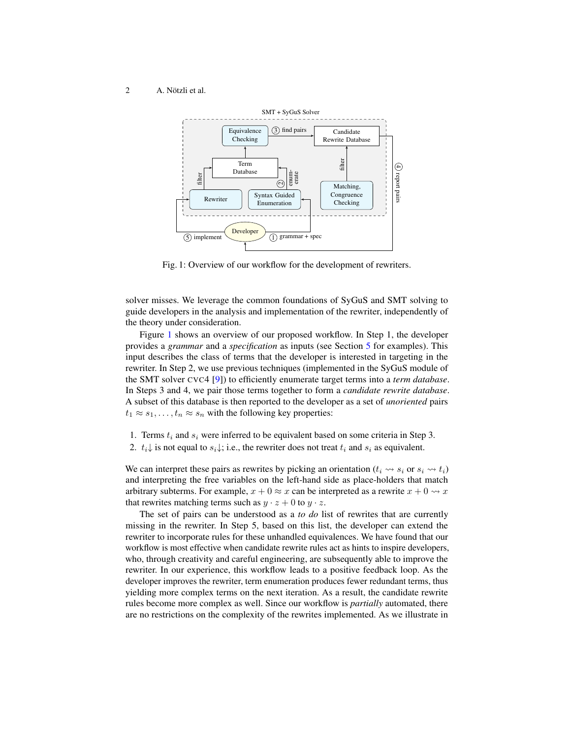<span id="page-1-0"></span>

Fig. 1: Overview of our workflow for the development of rewriters.

solver misses. We leverage the common foundations of SyGuS and SMT solving to guide developers in the analysis and implementation of the rewriter, independently of the theory under consideration.

Figure [1](#page-1-0) shows an overview of our proposed workflow. In Step 1, the developer provides a *grammar* and a *specification* as inputs (see Section [5](#page-6-0) for examples). This input describes the class of terms that the developer is interested in targeting in the rewriter. In Step 2, we use previous techniques (implemented in the SyGuS module of the SMT solver CVC4 [\[9\]](#page-15-2)) to efficiently enumerate target terms into a *term database*. In Steps 3 and 4, we pair those terms together to form a *candidate rewrite database*. A subset of this database is then reported to the developer as a set of *unoriented* pairs  $t_1 \approx s_1, \ldots, t_n \approx s_n$  with the following key properties:

- 1. Terms  $t_i$  and  $s_i$  were inferred to be equivalent based on some criteria in Step 3.
- 2.  $t_i\downarrow$  is not equal to  $s_i\downarrow$ ; i.e., the rewriter does not treat  $t_i$  and  $s_i$  as equivalent.

We can interpret these pairs as rewrites by picking an orientation  $(t_i \leadsto s_i \text{ or } s_i \leadsto t_i)$ and interpreting the free variables on the left-hand side as place-holders that match arbitrary subterms. For example,  $x + 0 \approx x$  can be interpreted as a rewrite  $x + 0 \rightsquigarrow x$ that rewrites matching terms such as  $y \cdot z + 0$  to  $y \cdot z$ .

The set of pairs can be understood as a *to do* list of rewrites that are currently missing in the rewriter. In Step 5, based on this list, the developer can extend the rewriter to incorporate rules for these unhandled equivalences. We have found that our workflow is most effective when candidate rewrite rules act as hints to inspire developers, who, through creativity and careful engineering, are subsequently able to improve the rewriter. In our experience, this workflow leads to a positive feedback loop. As the developer improves the rewriter, term enumeration produces fewer redundant terms, thus yielding more complex terms on the next iteration. As a result, the candidate rewrite rules become more complex as well. Since our workflow is *partially* automated, there are no restrictions on the complexity of the rewrites implemented. As we illustrate in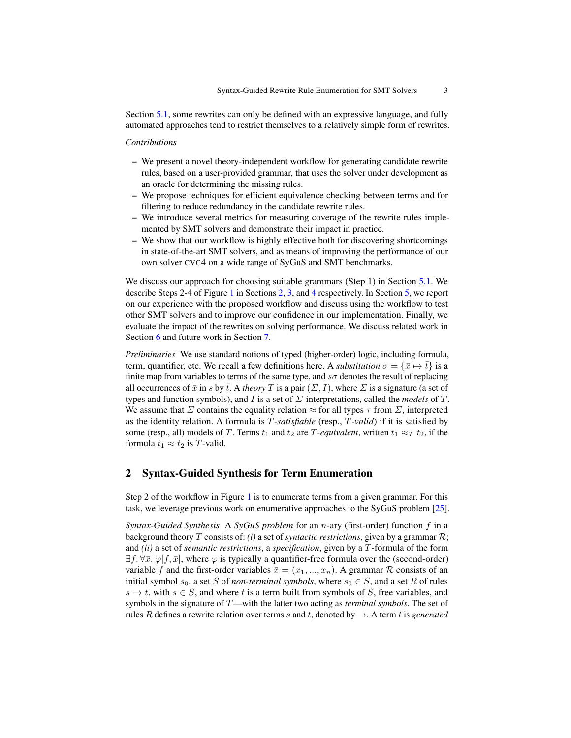Section [5.1,](#page-6-1) some rewrites can only be defined with an expressive language, and fully automated approaches tend to restrict themselves to a relatively simple form of rewrites.

### *Contributions*

- We present a novel theory-independent workflow for generating candidate rewrite rules, based on a user-provided grammar, that uses the solver under development as an oracle for determining the missing rules.
- We propose techniques for efficient equivalence checking between terms and for filtering to reduce redundancy in the candidate rewrite rules.
- We introduce several metrics for measuring coverage of the rewrite rules implemented by SMT solvers and demonstrate their impact in practice.
- We show that our workflow is highly effective both for discovering shortcomings in state-of-the-art SMT solvers, and as means of improving the performance of our own solver CVC4 on a wide range of SyGuS and SMT benchmarks.

We discuss our approach for choosing suitable grammars (Step 1) in Section [5.1.](#page-6-1) We describe Steps 2-4 of Figure [1](#page-1-0) in Sections [2,](#page-2-0) [3,](#page-3-0) and [4](#page-5-0) respectively. In Section [5,](#page-6-0) we report on our experience with the proposed workflow and discuss using the workflow to test other SMT solvers and to improve our confidence in our implementation. Finally, we evaluate the impact of the rewrites on solving performance. We discuss related work in Section [6](#page-14-0) and future work in Section [7.](#page-14-1)

*Preliminaries* We use standard notions of typed (higher-order) logic, including formula, term, quantifier, etc. We recall a few definitions here. A *substitution*  $\sigma = {\bar{x} \mapsto \bar{t}}$  is a finite map from variables to terms of the same type, and  $s\sigma$  denotes the result of replacing all occurrences of  $\bar{x}$  in s by  $\bar{t}$ . A *theory* T is a pair  $(\Sigma, I)$ , where  $\Sigma$  is a signature (a set of types and function symbols), and I is a set of Σ-interpretations, called the *models* of T. We assume that  $\Sigma$  contains the equality relation  $\approx$  for all types  $\tau$  from  $\Sigma$ , interpreted as the identity relation. A formula is T*-satisfiable* (resp., T*-valid*) if it is satisfied by some (resp., all) models of T. Terms  $t_1$  and  $t_2$  are T-equivalent, written  $t_1 \approx_T t_2$ , if the formula  $t_1 \approx t_2$  is T-valid.

### <span id="page-2-0"></span>2 Syntax-Guided Synthesis for Term Enumeration

Step 2 of the workflow in Figure [1](#page-1-0) is to enumerate terms from a given grammar. For this task, we leverage previous work on enumerative approaches to the SyGuS problem [\[25\]](#page-16-0).

*Syntax-Guided Synthesis* A *SyGuS problem* for an *n*-ary (first-order) function f in a background theory T consists of: *(i)* a set of *syntactic restrictions*, given by a grammar R; and *(ii)* a set of *semantic restrictions*, a *specification*, given by a T-formula of the form  $\exists f. \forall \bar{x}. \varphi[f, \bar{x}]$ , where  $\varphi$  is typically a quantifier-free formula over the (second-order) variable f and the first-order variables  $\bar{x} = (x_1, ..., x_n)$ . A grammar R consists of an initial symbol  $s_0$ , a set S of *non-terminal symbols*, where  $s_0 \in S$ , and a set R of rules  $s \to t$ , with  $s \in S$ , and where t is a term built from symbols of S, free variables, and symbols in the signature of T—with the latter two acting as *terminal symbols*. The set of rules R defines a rewrite relation over terms s and t, denoted by  $\rightarrow$ . A term t is *generated*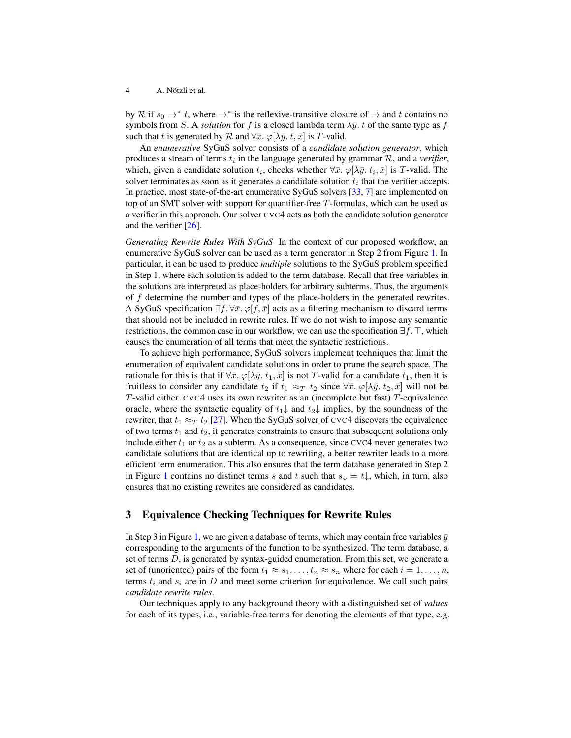by R if  $s_0 \to^* t$ , where  $\to^*$  is the reflexive-transitive closure of  $\to$  and t contains no symbols from S. A *solution* for f is a closed lambda term  $\lambda \bar{y}$ . t of the same type as f such that t is generated by R and  $\forall \bar{x}$ .  $\varphi[\lambda \bar{y}$ . t,  $\bar{x}$  is T-valid.

An *enumerative* SyGuS solver consists of a *candidate solution generator*, which produces a stream of terms  $t_i$  in the language generated by grammar  $R$ , and a *verifier*, which, given a candidate solution  $t_i$ , checks whether  $\forall \bar{x}$ .  $\varphi[\lambda \bar{y}, t_i, \bar{x}]$  is T-valid. The solver terminates as soon as it generates a candidate solution  $t_i$  that the verifier accepts. In practice, most state-of-the-art enumerative SyGuS solvers [\[33,](#page-17-0) [7\]](#page-15-3) are implemented on top of an SMT solver with support for quantifier-free T-formulas, which can be used as a verifier in this approach. Our solver CVC4 acts as both the candidate solution generator and the verifier [\[26\]](#page-17-1).

*Generating Rewrite Rules With SyGuS* In the context of our proposed workflow, an enumerative SyGuS solver can be used as a term generator in Step 2 from Figure [1.](#page-1-0) In particular, it can be used to produce *multiple* solutions to the SyGuS problem specified in Step 1, where each solution is added to the term database. Recall that free variables in the solutions are interpreted as place-holders for arbitrary subterms. Thus, the arguments of f determine the number and types of the place-holders in the generated rewrites. A SyGuS specification  $\exists f. \forall \bar{x}$ .  $\varphi[f, \bar{x}]$  acts as a filtering mechanism to discard terms that should not be included in rewrite rules. If we do not wish to impose any semantic restrictions, the common case in our workflow, we can use the specification  $\exists f$ .  $\top$ , which causes the enumeration of all terms that meet the syntactic restrictions.

To achieve high performance, SyGuS solvers implement techniques that limit the enumeration of equivalent candidate solutions in order to prune the search space. The rationale for this is that if  $\forall \bar{x}$ .  $\varphi[\lambda \bar{y}, t_1, \bar{x}]$  is not T-valid for a candidate  $t_1$ , then it is fruitless to consider any candidate  $t_2$  if  $t_1 \approx_T t_2$  since  $\forall \bar{x}$ .  $\varphi[\lambda \bar{y}, t_2, \bar{x}]$  will not be T-valid either. CVC4 uses its own rewriter as an (incomplete but fast) T-equivalence oracle, where the syntactic equality of  $t_1\downarrow$  and  $t_2\downarrow$  implies, by the soundness of the rewriter, that  $t_1 \approx_T t_2$  [\[27\]](#page-17-2). When the SyGuS solver of CVC4 discovers the equivalence of two terms  $t_1$  and  $t_2$ , it generates constraints to ensure that subsequent solutions only include either  $t_1$  or  $t_2$  as a subterm. As a consequence, since CVC4 never generates two candidate solutions that are identical up to rewriting, a better rewriter leads to a more efficient term enumeration. This also ensures that the term database generated in Step 2 in Figure [1](#page-1-0) contains no distinct terms s and t such that  $s\downarrow = t\downarrow$ , which, in turn, also ensures that no existing rewrites are considered as candidates.

# <span id="page-3-0"></span>3 Equivalence Checking Techniques for Rewrite Rules

In Step 3 in Figure [1,](#page-1-0) we are given a database of terms, which may contain free variables  $\bar{y}$ corresponding to the arguments of the function to be synthesized. The term database, a set of terms  $D$ , is generated by syntax-guided enumeration. From this set, we generate a set of (unoriented) pairs of the form  $t_1 \approx s_1, \ldots, t_n \approx s_n$  where for each  $i = 1, \ldots, n$ , terms  $t_i$  and  $s_i$  are in D and meet some criterion for equivalence. We call such pairs *candidate rewrite rules*.

Our techniques apply to any background theory with a distinguished set of *values* for each of its types, i.e., variable-free terms for denoting the elements of that type, e.g.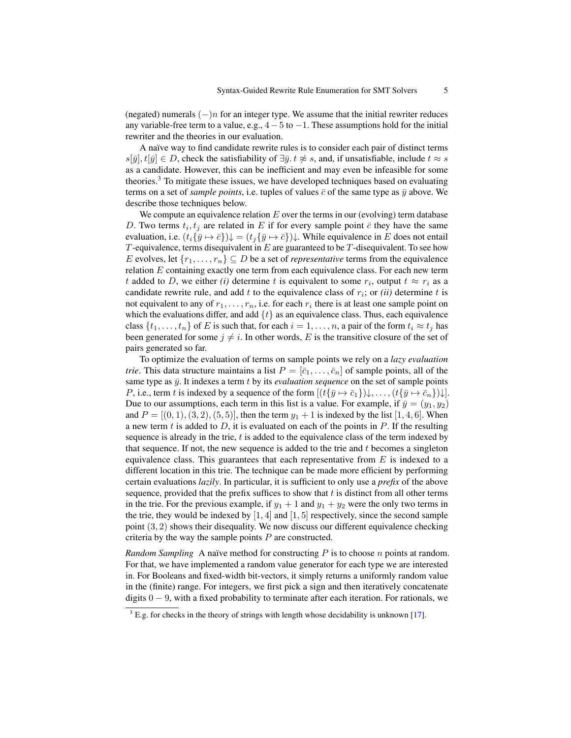(negated) numerals  $(-)n$  for an integer type. We assume that the initial rewriter reduces any variable-free term to a value, e.g.,  $4-5$  to  $-1$ . These assumptions hold for the initial rewriter and the theories in our evaluation.

A naïve way to find candidate rewrite rules is to consider each pair of distinct terms  $s[\bar{y}], t[\bar{y}] \in D$ , check the satisfiability of  $\exists \bar{y} \cdot t \not\approx s$ , and, if unsatisfiable, include  $t \approx s$ as a candidate. However, this can be inefficient and may even be infeasible for some theories.<sup>[3](#page-4-0)</sup> To mitigate these issues, we have developed techniques based on evaluating terms on a set of *sample points*, i.e. tuples of values  $\bar{c}$  of the same type as  $\bar{y}$  above. We describe those techniques below.

We compute an equivalence relation  $E$  over the terms in our (evolving) term database D. Two terms  $t_i, t_j$  are related in E if for every sample point  $\bar{c}$  they have the same evaluation, i.e.  $(t_i\{\bar{y}\mapsto \bar{c}\})\downarrow = (t_j\{\bar{y}\mapsto \bar{c}\})\downarrow$ . While equivalence in E does not entail T-equivalence, terms disequivalent in  $E$  are guaranteed to be  $T$ -disequivalent. To see how E evolves, let  $\{r_1, \ldots, r_n\} \subseteq D$  be a set of *representative* terms from the equivalence relation  $E$  containing exactly one term from each equivalence class. For each new term t added to D, we either (i) determine t is equivalent to some  $r_i$ , output  $t \approx r_i$  as a candidate rewrite rule, and add  $t$  to the equivalence class of  $r_i$ ; or *(ii)* determine  $t$  is not equivalent to any of  $r_1, \ldots, r_n$ , i.e. for each  $r_i$  there is at least one sample point on which the evaluations differ, and add  $\{t\}$  as an equivalence class. Thus, each equivalence class  $\{t_1, \ldots, t_n\}$  of E is such that, for each  $i = 1, \ldots, n$ , a pair of the form  $t_i \approx t_j$  has been generated for some  $j \neq i$ . In other words, E is the transitive closure of the set of pairs generated so far.

To optimize the evaluation of terms on sample points we rely on a *lazy evaluation trie*. This data structure maintains a list  $P = [\bar{c}_1, \ldots, \bar{c}_n]$  of sample points, all of the same type as  $\bar{y}$ . It indexes a term t by its *evaluation sequence* on the set of sample points P, i.e., term t is indexed by a sequence of the form  $[(t\{\bar{y}\mapsto \bar{c}_1\})_{\downarrow}, \ldots, (t\{\bar{y}\mapsto \bar{c}_n\})_{\downarrow}]$ . Due to our assumptions, each term in this list is a value. For example, if  $\bar{y} = (y_1, y_2)$ and  $P = [(0, 1), (3, 2), (5, 5)]$ , then the term  $y_1 + 1$  is indexed by the list [1, 4, 6]. When a new term  $t$  is added to  $D$ , it is evaluated on each of the points in  $P$ . If the resulting sequence is already in the trie, t is added to the equivalence class of the term indexed by that sequence. If not, the new sequence is added to the trie and  $t$  becomes a singleton equivalence class. This guarantees that each representative from  $E$  is indexed to a different location in this trie. The technique can be made more efficient by performing certain evaluations *lazily*. In particular, it is sufficient to only use a *prefix* of the above sequence, provided that the prefix suffices to show that  $t$  is distinct from all other terms in the trie. For the previous example, if  $y_1 + 1$  and  $y_1 + y_2$  were the only two terms in the trie, they would be indexed by  $[1, 4]$  and  $[1, 5]$  respectively, since the second sample point (3, 2) shows their disequality. We now discuss our different equivalence checking criteria by the way the sample points  $P$  are constructed.

*Random Sampling* A naïve method for constructing  $P$  is to choose  $n$  points at random. For that, we have implemented a random value generator for each type we are interested in. For Booleans and fixed-width bit-vectors, it simply returns a uniformly random value in the (finite) range. For integers, we first pick a sign and then iteratively concatenate digits  $0 - 9$ , with a fixed probability to terminate after each iteration. For rationals, we

<span id="page-4-0"></span> $3$  E.g. for checks in the theory of strings with length whose decidability is unknown [\[17\]](#page-16-1).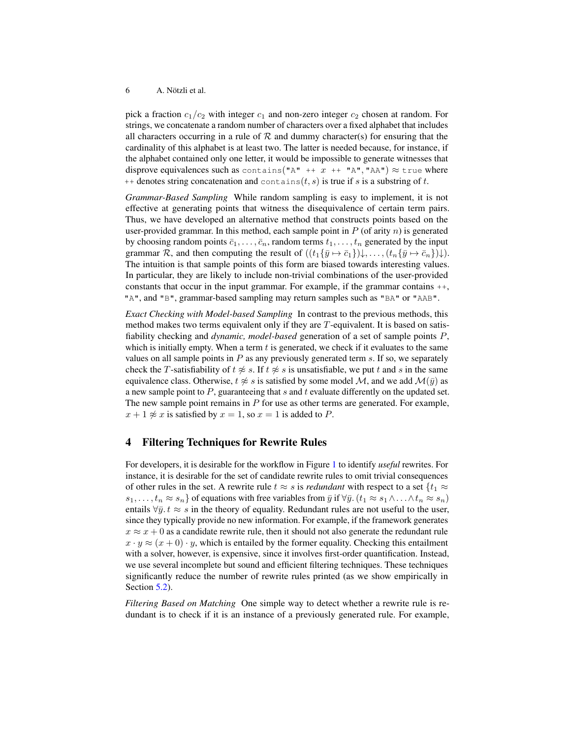pick a fraction  $c_1/c_2$  with integer  $c_1$  and non-zero integer  $c_2$  chosen at random. For strings, we concatenate a random number of characters over a fixed alphabet that includes all characters occurring in a rule of  $R$  and dummy character(s) for ensuring that the cardinality of this alphabet is at least two. The latter is needed because, for instance, if the alphabet contained only one letter, it would be impossible to generate witnesses that disprove equivalences such as contains("A" ++  $x$  ++ "A", "AA")  $\approx$  true where  $++$  denotes string concatenation and contains(t, s) is true if s is a substring of t.

*Grammar-Based Sampling* While random sampling is easy to implement, it is not effective at generating points that witness the disequivalence of certain term pairs. Thus, we have developed an alternative method that constructs points based on the user-provided grammar. In this method, each sample point in  $P$  (of arity  $n$ ) is generated by choosing random points  $\bar{c}_1, \ldots, \bar{c}_n$ , random terms  $t_1, \ldots, t_n$  generated by the input grammar R, and then computing the result of  $((t_1\{\overline{y}\mapsto \overline{c}_1\})\downarrow,\ldots,(t_n\{\overline{y}\mapsto \overline{c}_n\})\downarrow).$ The intuition is that sample points of this form are biased towards interesting values. In particular, they are likely to include non-trivial combinations of the user-provided constants that occur in the input grammar. For example, if the grammar contains ++, "A", and "B", grammar-based sampling may return samples such as "BA" or "AAB".

*Exact Checking with Model-based Sampling* In contrast to the previous methods, this method makes two terms equivalent only if they are  $T$ -equivalent. It is based on satisfiability checking and *dynamic, model-based* generation of a set of sample points P, which is initially empty. When a term  $t$  is generated, we check if it evaluates to the same values on all sample points in  $P$  as any previously generated term  $s$ . If so, we separately check the T-satisfiability of  $t \not\approx s$ . If  $t \not\approx s$  is unsatisfiable, we put t and s in the same equivalence class. Otherwise,  $t \not\approx s$  is satisfied by some model M, and we add  $\mathcal{M}(\bar{y})$  as a new sample point to  $P$ , guaranteeing that s and t evaluate differently on the updated set. The new sample point remains in  $P$  for use as other terms are generated. For example,  $x + 1 \not\approx x$  is satisfied by  $x = 1$ , so  $x = 1$  is added to P.

### <span id="page-5-0"></span>4 Filtering Techniques for Rewrite Rules

For developers, it is desirable for the workflow in Figure [1](#page-1-0) to identify *useful* rewrites. For instance, it is desirable for the set of candidate rewrite rules to omit trivial consequences of other rules in the set. A rewrite rule  $t \approx s$  is *redundant* with respect to a set  $\{t_1 \approx t_2, t_3 \approx t_4, t_5 \approx t_6, t_6 \approx t_7 \}$  $s_1, \ldots, t_n \approx s_n$  of equations with free variables from  $\bar{y}$  if  $\forall \bar{y}$ .  $(t_1 \approx s_1 \land \ldots \land t_n \approx s_n)$ entails  $\forall \bar{y} \cdot t \approx s$  in the theory of equality. Redundant rules are not useful to the user, since they typically provide no new information. For example, if the framework generates  $x \approx x + 0$  as a candidate rewrite rule, then it should not also generate the redundant rule  $x \cdot y \approx (x+0) \cdot y$ , which is entailed by the former equality. Checking this entailment with a solver, however, is expensive, since it involves first-order quantification. Instead, we use several incomplete but sound and efficient filtering techniques. These techniques significantly reduce the number of rewrite rules printed (as we show empirically in Section [5.2\)](#page-7-0).

*Filtering Based on Matching* One simple way to detect whether a rewrite rule is redundant is to check if it is an instance of a previously generated rule. For example,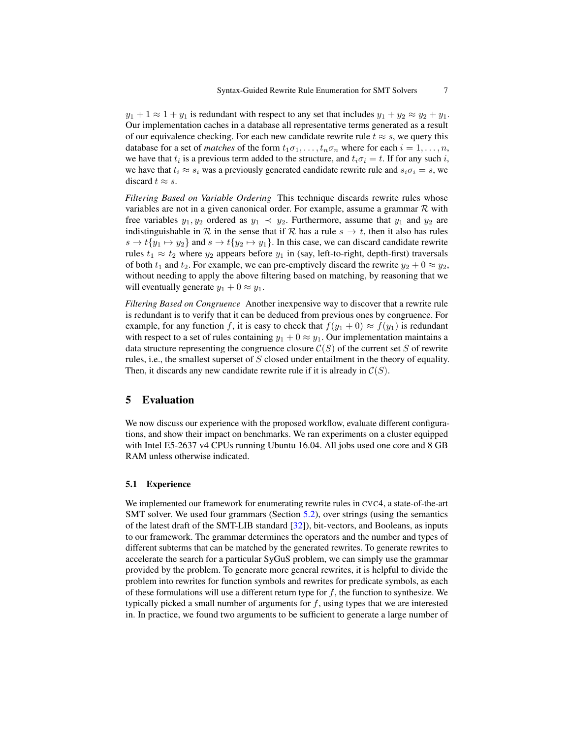$y_1 + 1 \approx 1 + y_1$  is redundant with respect to any set that includes  $y_1 + y_2 \approx y_2 + y_1$ . Our implementation caches in a database all representative terms generated as a result of our equivalence checking. For each new candidate rewrite rule  $t \approx s$ , we query this database for a set of *matches* of the form  $t_1 \sigma_1, \ldots, t_n \sigma_n$  where for each  $i = 1, \ldots, n$ , we have that  $t_i$  is a previous term added to the structure, and  $t_i \sigma_i = t$ . If for any such i, we have that  $t_i \approx s_i$  was a previously generated candidate rewrite rule and  $s_i \sigma_i = s$ , we discard  $t \approx s$ .

*Filtering Based on Variable Ordering* This technique discards rewrite rules whose variables are not in a given canonical order. For example, assume a grammar  $R$  with free variables  $y_1, y_2$  ordered as  $y_1 \prec y_2$ . Furthermore, assume that  $y_1$  and  $y_2$  are indistinguishable in R in the sense that if R has a rule  $s \to t$ , then it also has rules  $s \to t\{y_1 \mapsto y_2\}$  and  $s \to t\{y_2 \mapsto y_1\}$ . In this case, we can discard candidate rewrite rules  $t_1 \approx t_2$  where  $y_2$  appears before  $y_1$  in (say, left-to-right, depth-first) traversals of both  $t_1$  and  $t_2$ . For example, we can pre-emptively discard the rewrite  $y_2 + 0 \approx y_2$ , without needing to apply the above filtering based on matching, by reasoning that we will eventually generate  $y_1 + 0 \approx y_1$ .

*Filtering Based on Congruence* Another inexpensive way to discover that a rewrite rule is redundant is to verify that it can be deduced from previous ones by congruence. For example, for any function f, it is easy to check that  $f(y_1 + 0) \approx f(y_1)$  is redundant with respect to a set of rules containing  $y_1 + 0 \approx y_1$ . Our implementation maintains a data structure representing the congruence closure  $C(S)$  of the current set S of rewrite rules, i.e., the smallest superset of S closed under entailment in the theory of equality. Then, it discards any new candidate rewrite rule if it is already in  $\mathcal{C}(S)$ .

# <span id="page-6-0"></span>5 Evaluation

We now discuss our experience with the proposed workflow, evaluate different configurations, and show their impact on benchmarks. We ran experiments on a cluster equipped with Intel E5-2637 v4 CPUs running Ubuntu 16.04. All jobs used one core and 8 GB RAM unless otherwise indicated.

#### <span id="page-6-1"></span>5.1 Experience

We implemented our framework for enumerating rewrite rules in CVC4, a state-of-the-art SMT solver. We used four grammars (Section [5.2\)](#page-7-0), over strings (using the semantics of the latest draft of the SMT-LIB standard [\[32\]](#page-17-3)), bit-vectors, and Booleans, as inputs to our framework. The grammar determines the operators and the number and types of different subterms that can be matched by the generated rewrites. To generate rewrites to accelerate the search for a particular SyGuS problem, we can simply use the grammar provided by the problem. To generate more general rewrites, it is helpful to divide the problem into rewrites for function symbols and rewrites for predicate symbols, as each of these formulations will use a different return type for  $f$ , the function to synthesize. We typically picked a small number of arguments for  $f$ , using types that we are interested in. In practice, we found two arguments to be sufficient to generate a large number of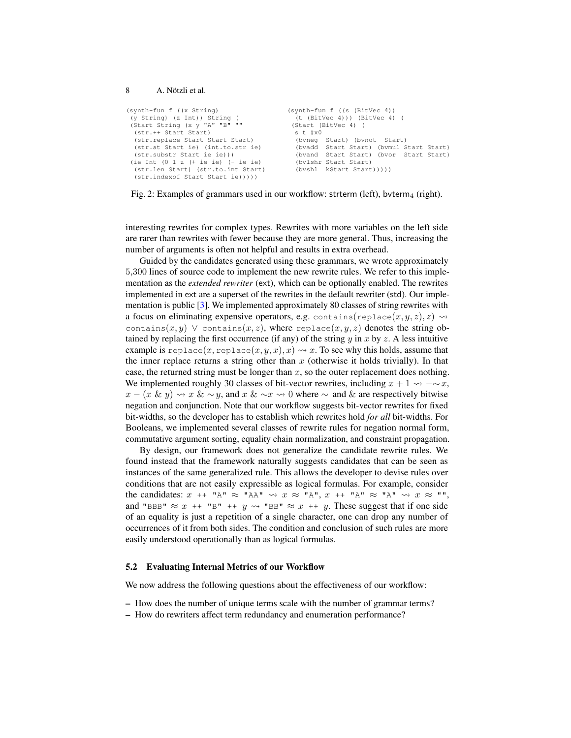```
(synth-fun f ((x String)
 (y String) (z Int)) String (
 (Start String (x y "A" "B" ""
  (str.++ Start Start)
  (str.replace Start Start Start)
  (str.at Start ie) (int.to.str ie)
  (str.substr Start ie ie)))
(ie Int (0 1 z (+ ie ie) (- ie ie)
 (str.len Start) (str.to.int Start)
  (str.indexof Start Start ie)))))
                                         (synth-fun f ((s (BitVec 4))
                                            (t (BitVec 4))) (BitVec 4) (
                                          (Start (BitVec 4) (
                                            s t #x0
                                            (bvneg Start) (bvnot Start)
                                            (bvadd Start Start) (bvmul Start Start)
                                            (bvand Start Start) (bvor Start Start)
                                            (bvlshr Start Start)
                                            (bvshl kStart Start)))))
```
Fig. 2: Examples of grammars used in our workflow: strterm (left), bvterm $_4$  (right).

interesting rewrites for complex types. Rewrites with more variables on the left side are rarer than rewrites with fewer because they are more general. Thus, increasing the number of arguments is often not helpful and results in extra overhead.

Guided by the candidates generated using these grammars, we wrote approximately 5,300 lines of source code to implement the new rewrite rules. We refer to this implementation as the *extended rewriter* (ext), which can be optionally enabled. The rewrites implemented in ext are a superset of the rewrites in the default rewriter (std). Our implementation is public [\[3\]](#page-15-4). We implemented approximately 80 classes of string rewrites with a focus on eliminating expensive operators, e.g. contains(replace(x, y, z), z)  $\rightsquigarrow$ contains $(x, y)$   $\vee$  contains $(x, z)$ , where replace $(x, y, z)$  denotes the string obtained by replacing the first occurrence (if any) of the string  $y$  in  $x$  by  $z$ . A less intuitive example is replace(x, replace(x, y, x), x)  $\rightsquigarrow$  x. To see why this holds, assume that the inner replace returns a string other than  $x$  (otherwise it holds trivially). In that case, the returned string must be longer than  $x$ , so the outer replacement does nothing. We implemented roughly 30 classes of bit-vector rewrites, including  $x + 1 \rightarrow -\infty x$ ,  $x - (x \& y) \rightarrow x \& \sim y$ , and  $x \& \sim x \rightarrow 0$  where  $\sim$  and  $\&$  are respectively bitwise negation and conjunction. Note that our workflow suggests bit-vector rewrites for fixed bit-widths, so the developer has to establish which rewrites hold *for all* bit-widths. For Booleans, we implemented several classes of rewrite rules for negation normal form, commutative argument sorting, equality chain normalization, and constraint propagation.

By design, our framework does not generalize the candidate rewrite rules. We found instead that the framework naturally suggests candidates that can be seen as instances of the same generalized rule. This allows the developer to devise rules over conditions that are not easily expressible as logical formulas. For example, consider the candidates:  $x + \mathbf{A} \times \mathbf{A} \times \mathbf{A} \times \mathbf{A} \times \mathbf{A} \times \mathbf{A} \times \mathbf{A} \times \mathbf{A} \times \mathbf{A} \times \mathbf{A} \times \mathbf{A} \times \mathbf{A} \times \mathbf{A} \times \mathbf{A} \times \mathbf{A} \times \mathbf{A} \times \mathbf{A} \times \mathbf{A} \times \mathbf{A} \times \mathbf{A} \times \mathbf{A} \times \mathbf{A} \times \mathbf{A} \times \mathbf{A} \times \mathbf{A} \times \math$ and "BBB"  $\approx x$  ++ "B" ++  $y \rightsquigarrow$  "BB"  $\approx x$  ++  $y$ . These suggest that if one side of an equality is just a repetition of a single character, one can drop any number of occurrences of it from both sides. The condition and conclusion of such rules are more easily understood operationally than as logical formulas.

### <span id="page-7-0"></span>5.2 Evaluating Internal Metrics of our Workflow

We now address the following questions about the effectiveness of our workflow:

- How does the number of unique terms scale with the number of grammar terms?
- How do rewriters affect term redundancy and enumeration performance?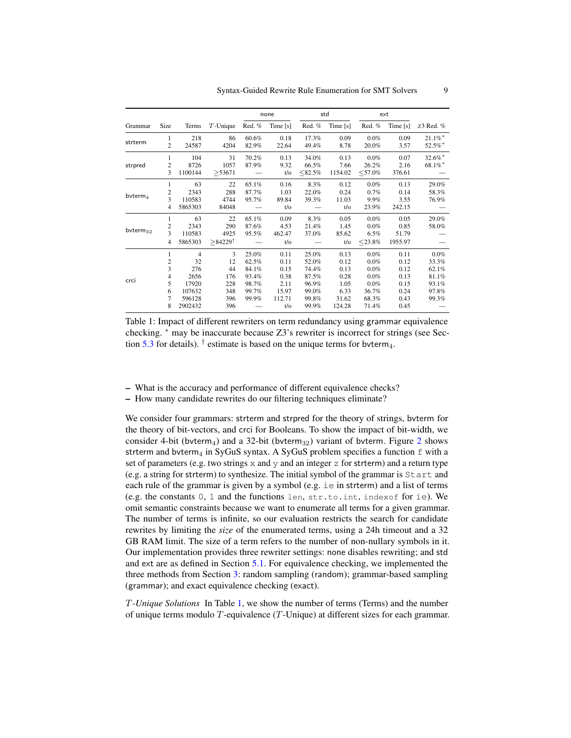<span id="page-8-0"></span>

|                |                         |                |                       | none   |            | std       |                | ext       |            |            |
|----------------|-------------------------|----------------|-----------------------|--------|------------|-----------|----------------|-----------|------------|------------|
| Grammar        | Size                    | Terms          | $T$ -Unique           | Red. % | Time $[s]$ | Red. $%$  | Time $[s]$     | Red. %    | Time $[s]$ | z3 Red. %  |
|                | 1                       | 218            | 86                    | 60.6%  | 0.18       | 17.3%     | 0.09           | 0.0%      | 0.09       | $21.1\%$ * |
| strterm        | $\overline{c}$          | 24587          | 4204                  | 82.9%  | 22.64      | 49.4%     | 8.78           | 20.0%     | 3.57       | 52.5%*     |
|                | 1                       | 104            | 31                    | 70.2%  | 0.13       | 34.0%     | 0.13           | 0.0%      | 0.07       | 32.6%*     |
| strpred        | $\overline{c}$          | 8726           | 1057                  | 87.9%  | 9.32       | 66.5%     | 7.66           | 26.2%     | 2.16       | $68.1\%$ * |
|                | 3                       | 1100144        | > 53671               |        | $t/\sigma$ | $<82.5\%$ | 1154.02        | $<$ 57.0% | 376.61     |            |
|                | 1                       | 63             | 22                    | 65.1%  | 0.16       | 8.3%      | 0.12           | 0.0%      | 0.13       | 29.0%      |
|                | 2                       | 2343           | 288                   | 87.7%  | 1.03       | 22.0%     | 0.24           | 0.7%      | 0.14       | 58.3%      |
| $b$ vterm $_4$ | 3                       | 110583         | 4744                  | 95.7%  | 89.84      | 39.3%     | 11.03          | 9.9%      | 3.55       | 76.9%      |
|                | 4                       | 5865303        | 84048                 |        | $t/\sigma$ |           | $t/\mathrm{o}$ | 23.9%     | 242.15     |            |
|                | 1                       | 63             | 22                    | 65.1%  | 0.09       | 8.3%      | 0.05           | $0.0\%$   | 0.05       | 29.0%      |
|                | 2                       | 2343           | 290                   | 87.6%  | 4.53       | 21.4%     | 1.45           | $0.0\%$   | 0.85       | 58.0%      |
| bvterm $_{32}$ | 3                       | 110583         | 4925                  | 95.5%  | 462.47     | 37.0%     | 85.62          | 6.5%      | 51.79      |            |
|                | $\overline{4}$          | 5865303        | $>84229$ <sup>†</sup> |        | $t$ /o     |           | $t/\mathrm{o}$ | $<$ 23.8% | 1955.97    |            |
|                | 1                       | $\overline{4}$ | 3                     | 25.0%  | 0.11       | 25.0%     | 0.13           | 0.0%      | 0.11       | $0.0\%$    |
| crci           | $\overline{\mathbf{c}}$ | 32             | 12                    | 62.5%  | 0.11       | 52.0%     | 0.12           | 0.0%      | 0.12       | 33.3%      |
|                | 3                       | 276            | 44                    | 84.1%  | 0.15       | 74.4%     | 0.13           | 0.0%      | 0.12       | 62.1%      |
|                | 4                       | 2656           | 176                   | 93.4%  | 0.38       | 87.5%     | 0.28           | 0.0%      | 0.13       | 81.1%      |
|                | 5                       | 17920          | 228                   | 98.7%  | 2.11       | 96.9%     | 1.05           | 0.0%      | 0.15       | 93.1%      |
|                | 6                       | 107632         | 348                   | 99.7%  | 15.97      | 99.0%     | 6.33           | 36.7%     | 0.24       | 97.8%      |
|                | 7                       | 596128         | 396                   | 99.9%  | 112.71     | 99.8%     | 31.62          | 68.3%     | 0.43       | 99.3%      |
|                | 8                       | 2902432        | 396                   |        | $t/\sigma$ | 99.9%     | 124.28         | 71.4%     | 0.45       |            |

Table 1: Impact of different rewriters on term redundancy using grammar equivalence checking. <sup>∗</sup> may be inaccurate because Z3's rewriter is incorrect for strings (see Sec-tion [5.3](#page-10-0) for details).  $^{\dagger}$  estimate is based on the unique terms for bvterm<sub>4</sub>.

- What is the accuracy and performance of different equivalence checks?
- How many candidate rewrites do our filtering techniques eliminate?

We consider four grammars: strterm and strpred for the theory of strings, bvterm for the theory of bit-vectors, and crci for Booleans. To show the impact of bit-width, we consider 4-bit (bvterm<sub>4</sub>) and a 3[2](#page-7-1)-bit (bvterm<sub>32</sub>) variant of bvterm. Figure 2 shows strterm and bvterm<sub>4</sub> in SyGuS syntax. A SyGuS problem specifies a function  $f$  with a set of parameters (e.g. two strings  $x$  and  $y$  and an integer  $z$  for strterm) and a return type (e.g. a string for strterm) to synthesize. The initial symbol of the grammar is Start and each rule of the grammar is given by a symbol (e.g. ie in strterm) and a list of terms (e.g. the constants  $0, 1$  and the functions len, str.to.int, index of for ie). We omit semantic constraints because we want to enumerate all terms for a given grammar. The number of terms is infinite, so our evaluation restricts the search for candidate rewrites by limiting the *size* of the enumerated terms, using a 24h timeout and a 32 GB RAM limit. The size of a term refers to the number of non-nullary symbols in it. Our implementation provides three rewriter settings: none disables rewriting; and std and ext are as defined in Section [5.1.](#page-6-1) For equivalence checking, we implemented the three methods from Section [3:](#page-3-0) random sampling (random); grammar-based sampling (grammar); and exact equivalence checking (exact).

T*-Unique Solutions* In Table [1,](#page-8-0) we show the number of terms (Terms) and the number of unique terms modulo  $T$ -equivalence  $(T$ -Unique) at different sizes for each grammar.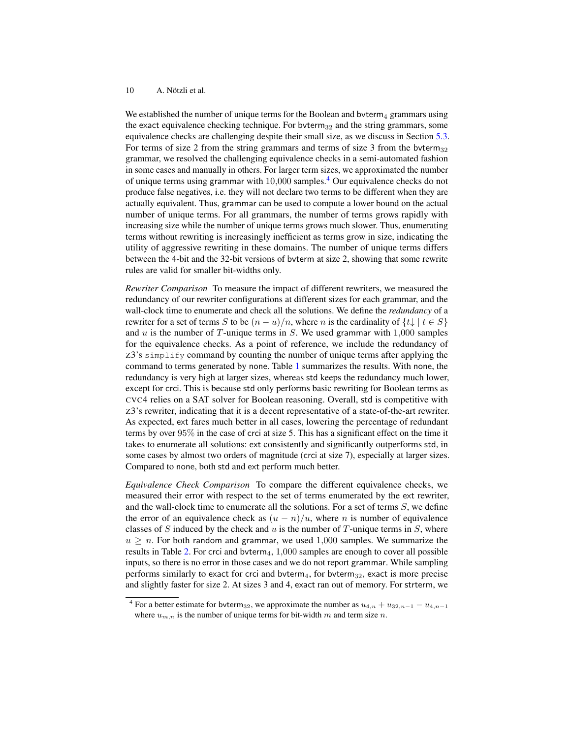We established the number of unique terms for the Boolean and byterm<sub>4</sub> grammars using the exact equivalence checking technique. For byterm $_{32}$  and the string grammars, some equivalence checks are challenging despite their small size, as we discuss in Section [5.3.](#page-10-0) For terms of size 2 from the string grammars and terms of size 3 from the bvterm $_{32}$ grammar, we resolved the challenging equivalence checks in a semi-automated fashion in some cases and manually in others. For larger term sizes, we approximated the number of unique terms using grammar with  $10,000$  samples.<sup>[4](#page-9-0)</sup> Our equivalence checks do not produce false negatives, i.e. they will not declare two terms to be different when they are actually equivalent. Thus, grammar can be used to compute a lower bound on the actual number of unique terms. For all grammars, the number of terms grows rapidly with increasing size while the number of unique terms grows much slower. Thus, enumerating terms without rewriting is increasingly inefficient as terms grow in size, indicating the utility of aggressive rewriting in these domains. The number of unique terms differs between the 4-bit and the 32-bit versions of bvterm at size 2, showing that some rewrite rules are valid for smaller bit-widths only.

*Rewriter Comparison* To measure the impact of different rewriters, we measured the redundancy of our rewriter configurations at different sizes for each grammar, and the wall-clock time to enumerate and check all the solutions. We define the *redundancy* of a rewriter for a set of terms S to be  $(n - u)/n$ , where n is the cardinality of  $\{t\}$  |  $t \in S$ } and  $u$  is the number of  $T$ -unique terms in  $S$ . We used grammar with  $1,000$  samples for the equivalence checks. As a point of reference, we include the redundancy of Z3's simplify command by counting the number of unique terms after applying the command to terms generated by none. Table [1](#page-8-0) summarizes the results. With none, the redundancy is very high at larger sizes, whereas std keeps the redundancy much lower, except for crci. This is because std only performs basic rewriting for Boolean terms as CVC4 relies on a SAT solver for Boolean reasoning. Overall, std is competitive with Z3's rewriter, indicating that it is a decent representative of a state-of-the-art rewriter. As expected, ext fares much better in all cases, lowering the percentage of redundant terms by over 95% in the case of crci at size 5. This has a significant effect on the time it takes to enumerate all solutions: ext consistently and significantly outperforms std, in some cases by almost two orders of magnitude (crci at size 7), especially at larger sizes. Compared to none, both std and ext perform much better.

*Equivalence Check Comparison* To compare the different equivalence checks, we measured their error with respect to the set of terms enumerated by the ext rewriter, and the wall-clock time to enumerate all the solutions. For a set of terms  $S$ , we define the error of an equivalence check as  $(u - n)/u$ , where *n* is number of equivalence classes of S induced by the check and  $u$  is the number of T-unique terms in S, where  $u \geq n$ . For both random and grammar, we used 1,000 samples. We summarize the results in Table [2.](#page-10-1) For crci and bvterm<sub>4</sub>,  $1,000$  samples are enough to cover all possible inputs, so there is no error in those cases and we do not report grammar. While sampling performs similarly to exact for crci and bvterm $_4$ , for bvterm $_{32}$ , exact is more precise and slightly faster for size 2. At sizes 3 and 4, exact ran out of memory. For strterm, we

<span id="page-9-0"></span><sup>&</sup>lt;sup>4</sup> For a better estimate for bvterm<sub>32</sub>, we approximate the number as  $u_{4,n} + u_{32,n-1} - u_{4,n-1}$ where  $u_{m,n}$  is the number of unique terms for bit-width m and term size n.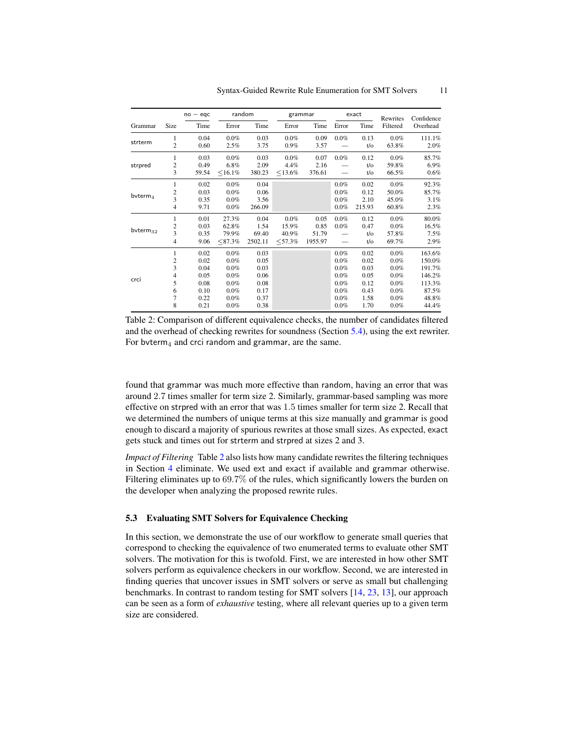<span id="page-10-1"></span>

|                |                         | $no - eqc$ | random        |         | grammar    |         | exact   |                | Rewrites | Confidence |
|----------------|-------------------------|------------|---------------|---------|------------|---------|---------|----------------|----------|------------|
| Grammar        | Size                    | Time       | Error         | Time    | Error      | Time    | Error   | Time           | Filtered | Overhead   |
|                | 1                       | 0.04       | $0.0\%$       | 0.03    | $0.0\%$    | 0.09    | $0.0\%$ | 0.13           | $0.0\%$  | 111.1%     |
| strterm        | $\overline{c}$          | 0.60       | 2.5%          | 3.75    | $0.9\%$    | 3.57    |         | $t/\mathrm{o}$ | 63.8%    | 2.0%       |
|                | 1                       | 0.03       | $0.0\%$       | 0.03    | $0.0\%$    | 0.07    | 0.0%    | 0.12           | $0.0\%$  | 85.7%      |
| strpred        | $\overline{c}$          | 0.49       | $6.8\%$       | 2.09    | 4.4%       | 2.16    |         | $t/\sigma$     | 59.8%    | 6.9%       |
|                | 3                       | 59.54      | $<$ 16.1%     | 380.23  | $< 13.6\%$ | 376.61  |         | $t/\mathrm{o}$ | 66.5%    | 0.6%       |
|                | 1                       | 0.02       | $0.0\%$       | 0.04    |            |         | 0.0%    | 0.02           | $0.0\%$  | 92.3%      |
|                | 2                       | 0.03       | $0.0\%$       | 0.06    |            |         | 0.0%    | 0.12           | 50.0%    | 85.7%      |
| $b$ vterm $_4$ | 3                       | 0.35       | $0.0\%$       | 3.56    |            |         | $0.0\%$ | 2.10           | 45.0%    | 3.1%       |
|                | $\overline{4}$          | 9.71       | $0.0\%$       | 266.09  |            |         | $0.0\%$ | 215.93         | 60.8%    | 2.3%       |
|                | 1                       | 0.01       | 27.3%         | 0.04    | 0.0%       | 0.05    | 0.0%    | 0.12           | $0.0\%$  | 80.0%      |
|                | 2                       | 0.03       | 62.8%         | 1.54    | 15.9%      | 0.85    | $0.0\%$ | 0.47           | $0.0\%$  | 16.5%      |
| bvterm $_{32}$ | $\overline{\mathbf{3}}$ | 0.35       | 79.9%         | 69.40   | 40.9%      | 51.79   |         | $t/\sigma$     | 57.8%    | 7.5%       |
|                | $\overline{4}$          | 9.06       | $<\!\!87.3\%$ | 2502.11 | $<$ 57.3%  | 1955.97 |         | $t/\sigma$     | 69.7%    | 2.9%       |
|                | 1                       | 0.02       | $0.0\%$       | 0.03    |            |         | $0.0\%$ | 0.02           | $0.0\%$  | 163.6%     |
| crci           | 2                       | 0.02       | $0.0\%$       | 0.05    |            |         | $0.0\%$ | 0.02           | $0.0\%$  | 150.0%     |
|                | 3                       | 0.04       | $0.0\%$       | 0.03    |            |         | $0.0\%$ | 0.03           | $0.0\%$  | 191.7%     |
|                | 4                       | 0.05       | $0.0\%$       | 0.06    |            |         | $0.0\%$ | 0.05           | $0.0\%$  | 146.2%     |
|                | 5                       | 0.08       | 0.0%          | 0.08    |            |         | $0.0\%$ | 0.12           | $0.0\%$  | 113.3%     |
|                | 6                       | 0.10       | $0.0\%$       | 0.17    |            |         | $0.0\%$ | 0.43           | $0.0\%$  | 87.5%      |
|                | 7                       | 0.22       | 0.0%          | 0.37    |            |         | $0.0\%$ | 1.58           | $0.0\%$  | 48.8%      |
|                | 8                       | 0.21       | $0.0\%$       | 0.38    |            |         | $0.0\%$ | 1.70           | $0.0\%$  | 44.4%      |

Table 2: Comparison of different equivalence checks, the number of candidates filtered and the overhead of checking rewrites for soundness (Section [5.4\)](#page-12-0), using the ext rewriter. For bvterm<sub>4</sub> and crci random and grammar, are the same.

found that grammar was much more effective than random, having an error that was around 2.7 times smaller for term size 2. Similarly, grammar-based sampling was more effective on strpred with an error that was 1.5 times smaller for term size 2. Recall that we determined the numbers of unique terms at this size manually and grammar is good enough to discard a majority of spurious rewrites at those small sizes. As expected, exact gets stuck and times out for strterm and strpred at sizes 2 and 3.

*Impact of Filtering* Table [2](#page-10-1) also lists how many candidate rewrites the filtering techniques in Section [4](#page-5-0) eliminate. We used ext and exact if available and grammar otherwise. Filtering eliminates up to 69.7% of the rules, which significantly lowers the burden on the developer when analyzing the proposed rewrite rules.

### <span id="page-10-0"></span>5.3 Evaluating SMT Solvers for Equivalence Checking

In this section, we demonstrate the use of our workflow to generate small queries that correspond to checking the equivalence of two enumerated terms to evaluate other SMT solvers. The motivation for this is twofold. First, we are interested in how other SMT solvers perform as equivalence checkers in our workflow. Second, we are interested in finding queries that uncover issues in SMT solvers or serve as small but challenging benchmarks. In contrast to random testing for SMT solvers [\[14,](#page-16-2) [23,](#page-16-3) [13\]](#page-15-5), our approach can be seen as a form of *exhaustive* testing, where all relevant queries up to a given term size are considered.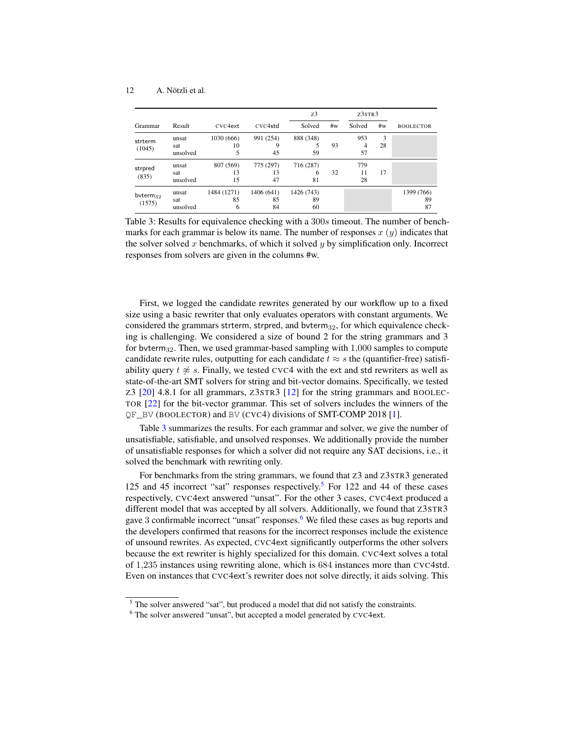<span id="page-11-0"></span>

|                          |                          |                        |                        | Z <sub>3</sub>         |    | Z3STR3          |         |                        |
|--------------------------|--------------------------|------------------------|------------------------|------------------------|----|-----------------|---------|------------------------|
| Grammar                  | Result                   | CVC4ext                | CVC4std                | Solved                 | #w | Solved          | #w      | <b>BOOLECTOR</b>       |
| strterm<br>(1045)        | unsat<br>sat<br>unsolved | 1030 (666)<br>10<br>5  | 991 (254)<br>9<br>45   | 888 (348)<br>59        | 93 | 953<br>4<br>57  | 3<br>28 |                        |
| strpred<br>(835)         | unsat<br>sat<br>unsolved | 807 (569)<br>13<br>15  | 775 (297)<br>13<br>47  | 716 (287)<br>6<br>81   | 32 | 779<br>11<br>28 | 17      |                        |
| $b$ vterm $32$<br>(1575) | unsat<br>sat<br>unsolved | 1484 (1271)<br>85<br>6 | 1406 (641)<br>85<br>84 | 1426 (743)<br>89<br>60 |    |                 |         | 1399 (766)<br>89<br>87 |

Table 3: Results for equivalence checking with a 300s timeout. The number of benchmarks for each grammar is below its name. The number of responses  $x(y)$  indicates that the solver solved x benchmarks, of which it solved  $y$  by simplification only. Incorrect responses from solvers are given in the columns #w.

First, we logged the candidate rewrites generated by our workflow up to a fixed size using a basic rewriter that only evaluates operators with constant arguments. We considered the grammars strterm, strpred, and bvterm $_{32}$ , for which equivalence checking is challenging. We considered a size of bound 2 for the string grammars and 3 for bvterm $_{32}$ . Then, we used grammar-based sampling with  $1,000$  samples to compute candidate rewrite rules, outputting for each candidate  $t \approx s$  the (quantifier-free) satisfiability query  $t \approx s$ . Finally, we tested CVC4 with the ext and std rewriters as well as state-of-the-art SMT solvers for string and bit-vector domains. Specifically, we tested Z3 [\[20\]](#page-16-4) 4.8.1 for all grammars, Z3STR3 [\[12\]](#page-15-6) for the string grammars and BOOLEC-TOR [\[22\]](#page-16-5) for the bit-vector grammar. This set of solvers includes the winners of the QF\_BV (BOOLECTOR) and BV (CVC4) divisions of SMT-COMP 2018 [\[1\]](#page-15-7).

Table [3](#page-11-0) summarizes the results. For each grammar and solver, we give the number of unsatisfiable, satisfiable, and unsolved responses. We additionally provide the number of unsatisfiable responses for which a solver did not require any SAT decisions, i.e., it solved the benchmark with rewriting only.

For benchmarks from the string grammars, we found that Z3 and Z3STR3 generated 12[5](#page-11-1) and 45 incorrect "sat" responses respectively.<sup>5</sup> For 122 and 44 of these cases respectively, CVC4ext answered "unsat". For the other 3 cases, CVC4ext produced a different model that was accepted by all solvers. Additionally, we found that Z3STR3 gave 3 confirmable incorrect "unsat" responses.<sup>[6](#page-11-2)</sup> We filed these cases as bug reports and the developers confirmed that reasons for the incorrect responses include the existence of unsound rewrites. As expected, CVC4ext significantly outperforms the other solvers because the ext rewriter is highly specialized for this domain. CVC4ext solves a total of 1,235 instances using rewriting alone, which is 684 instances more than CVC4std. Even on instances that CVC4ext's rewriter does not solve directly, it aids solving. This

<span id="page-11-1"></span> $<sup>5</sup>$  The solver answered "sat", but produced a model that did not satisfy the constraints.</sup>

<span id="page-11-2"></span><sup>6</sup> The solver answered "unsat", but accepted a model generated by CVC4ext.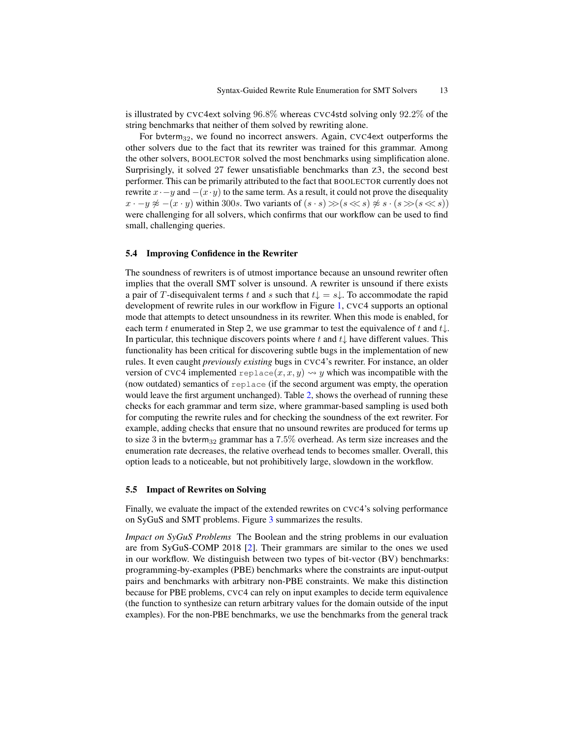is illustrated by CVC4ext solving 96.8% whereas CVC4std solving only 92.2% of the string benchmarks that neither of them solved by rewriting alone.

For bvterm $_{32}$ , we found no incorrect answers. Again, CVC4ext outperforms the other solvers due to the fact that its rewriter was trained for this grammar. Among the other solvers, BOOLECTOR solved the most benchmarks using simplification alone. Surprisingly, it solved 27 fewer unsatisfiable benchmarks than Z3, the second best performer. This can be primarily attributed to the fact that BOOLECTOR currently does not rewrite  $x \cdot -y$  and  $-(x \cdot y)$  to the same term. As a result, it could not prove the disequality  $x \cdot -y \not\approx -(x \cdot y)$  within 300s. Two variants of  $(s \cdot s) \gg (s \ll s) \not\approx s \cdot (s \gg (s \ll s))$ were challenging for all solvers, which confirms that our workflow can be used to find small, challenging queries.

### <span id="page-12-0"></span>5.4 Improving Confidence in the Rewriter

The soundness of rewriters is of utmost importance because an unsound rewriter often implies that the overall SMT solver is unsound. A rewriter is unsound if there exists a pair of T-disequivalent terms t and s such that  $t\downarrow = s\downarrow$ . To accommodate the rapid development of rewrite rules in our workflow in Figure [1,](#page-1-0) CVC4 supports an optional mode that attempts to detect unsoundness in its rewriter. When this mode is enabled, for each term t enumerated in Step 2, we use grammar to test the equivalence of t and  $t\downarrow$ . In particular, this technique discovers points where t and  $t\downarrow$  have different values. This functionality has been critical for discovering subtle bugs in the implementation of new rules. It even caught *previously existing* bugs in CVC4's rewriter. For instance, an older version of CVC4 implemented replace $(x, x, y) \rightarrow y$  which was incompatible with the (now outdated) semantics of replace (if the second argument was empty, the operation would leave the first argument unchanged). Table [2,](#page-10-1) shows the overhead of running these checks for each grammar and term size, where grammar-based sampling is used both for computing the rewrite rules and for checking the soundness of the ext rewriter. For example, adding checks that ensure that no unsound rewrites are produced for terms up to size 3 in the bvterm<sub>32</sub> grammar has a  $7.5\%$  overhead. As term size increases and the enumeration rate decreases, the relative overhead tends to becomes smaller. Overall, this option leads to a noticeable, but not prohibitively large, slowdown in the workflow.

### 5.5 Impact of Rewrites on Solving

Finally, we evaluate the impact of the extended rewrites on CVC4's solving performance on SyGuS and SMT problems. Figure [3](#page-13-0) summarizes the results.

*Impact on SyGuS Problems* The Boolean and the string problems in our evaluation are from SyGuS-COMP 2018 [\[2\]](#page-15-8). Their grammars are similar to the ones we used in our workflow. We distinguish between two types of bit-vector (BV) benchmarks: programming-by-examples (PBE) benchmarks where the constraints are input-output pairs and benchmarks with arbitrary non-PBE constraints. We make this distinction because for PBE problems, CVC4 can rely on input examples to decide term equivalence (the function to synthesize can return arbitrary values for the domain outside of the input examples). For the non-PBE benchmarks, we use the benchmarks from the general track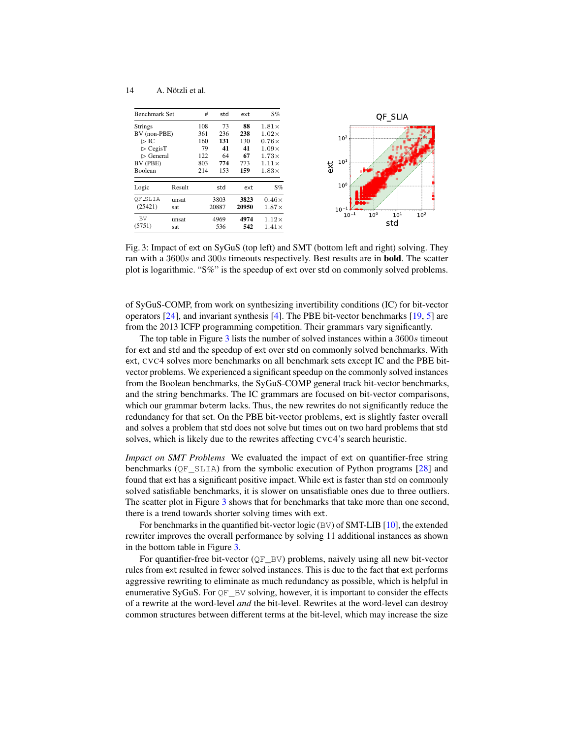<span id="page-13-0"></span>

| <b>Benchmark Set</b>                                                                                                                |              | #                                            | std                                        | ext                                        | $S\%$                                                                                                        | QF SLIA                                                            |
|-------------------------------------------------------------------------------------------------------------------------------------|--------------|----------------------------------------------|--------------------------------------------|--------------------------------------------|--------------------------------------------------------------------------------------------------------------|--------------------------------------------------------------------|
| <b>Strings</b><br>BV (non-PBE)<br>$\triangleright$ IC<br>$\triangleright$ CegisT<br>$\triangleright$ General<br>BV (PBE)<br>Boolean |              | 108<br>361<br>160<br>79<br>122<br>803<br>214 | 73<br>236<br>131<br>41<br>64<br>774<br>153 | 88<br>238<br>130<br>41<br>67<br>773<br>159 | $1.81\times$<br>$1.02\times$<br>$0.76\times$<br>$1.09\times$<br>$1.73\times$<br>$1.11\times$<br>$1.83\times$ | 10 <sup>2</sup><br>$10^{1}$<br>ext                                 |
| Logic                                                                                                                               | Result       |                                              | std                                        | ext                                        | $S\%$                                                                                                        | 10 <sup>0</sup>                                                    |
| OF_SLIA<br>(25421)                                                                                                                  | unsat<br>sat |                                              | 3803<br>20887                              | 3823<br>20950                              | $0.46\times$<br>$1.87\times$                                                                                 | <b>DAY</b><br>$10^{-1}$                                            |
| <b>BV</b><br>(5751)                                                                                                                 | unsat<br>sat |                                              | 4969<br>536                                | 4974<br>542                                | $1.12\times$<br>$1.41\times$                                                                                 | 10 <sup>0</sup><br>10 <sup>2</sup><br>$10^{-1}$<br>$10^{1}$<br>std |

Fig. 3: Impact of ext on SyGuS (top left) and SMT (bottom left and right) solving. They ran with a 3600s and 300s timeouts respectively. Best results are in bold. The scatter plot is logarithmic. "S%" is the speedup of ext over std on commonly solved problems.

of SyGuS-COMP, from work on synthesizing invertibility conditions (IC) for bit-vector operators [\[24\]](#page-16-6), and invariant synthesis [\[4\]](#page-15-9). The PBE bit-vector benchmarks [\[19,](#page-16-7) [5\]](#page-15-10) are from the 2013 ICFP programming competition. Their grammars vary significantly.

The top table in Figure [3](#page-13-0) lists the number of solved instances within a 3600s timeout for ext and std and the speedup of ext over std on commonly solved benchmarks. With ext, CVC4 solves more benchmarks on all benchmark sets except IC and the PBE bitvector problems. We experienced a significant speedup on the commonly solved instances from the Boolean benchmarks, the SyGuS-COMP general track bit-vector benchmarks, and the string benchmarks. The IC grammars are focused on bit-vector comparisons, which our grammar bvterm lacks. Thus, the new rewrites do not significantly reduce the redundancy for that set. On the PBE bit-vector problems, ext is slightly faster overall and solves a problem that std does not solve but times out on two hard problems that std solves, which is likely due to the rewrites affecting CVC4's search heuristic.

*Impact on SMT Problems* We evaluated the impact of ext on quantifier-free string benchmarks ( $QF$  SLIA) from the symbolic execution of Python programs [\[28\]](#page-17-4) and found that ext has a significant positive impact. While ext is faster than std on commonly solved satisfiable benchmarks, it is slower on unsatisfiable ones due to three outliers. The scatter plot in Figure [3](#page-13-0) shows that for benchmarks that take more than one second, there is a trend towards shorter solving times with ext.

For benchmarks in the quantified bit-vector logic (BV) of SMT-LIB [\[10\]](#page-15-11), the extended rewriter improves the overall performance by solving 11 additional instances as shown in the bottom table in Figure [3.](#page-13-0)

For quantifier-free bit-vector (QF\_BV) problems, naively using all new bit-vector rules from ext resulted in fewer solved instances. This is due to the fact that ext performs aggressive rewriting to eliminate as much redundancy as possible, which is helpful in enumerative SyGuS. For  $QF$  BV solving, however, it is important to consider the effects of a rewrite at the word-level *and* the bit-level. Rewrites at the word-level can destroy common structures between different terms at the bit-level, which may increase the size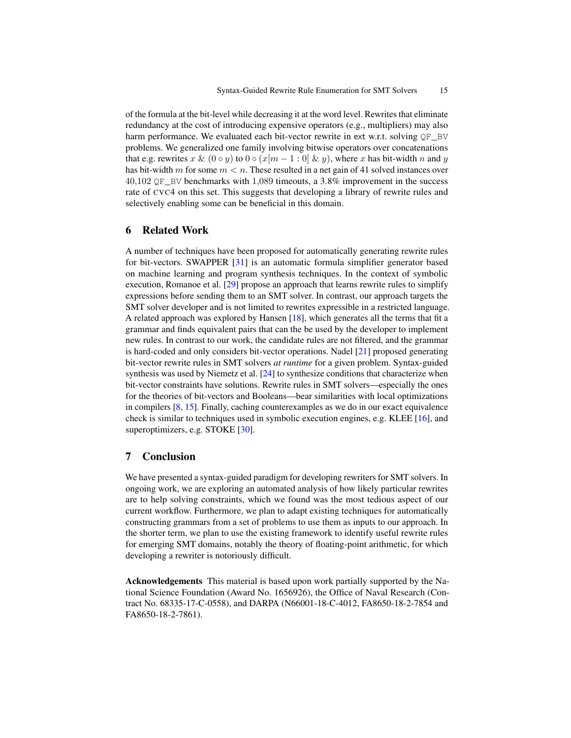of the formula at the bit-level while decreasing it at the word level. Rewrites that eliminate redundancy at the cost of introducing expensive operators (e.g., multipliers) may also harm performance. We evaluated each bit-vector rewrite in ext w.r.t. solving  $QF_B$ V problems. We generalized one family involving bitwise operators over concatenations that e.g. rewrites x & (0 ∘ y) to 0 ∘ (x[m – 1 : 0] & y), where x has bit-width n and y has bit-width m for some  $m < n$ . These resulted in a net gain of 41 solved instances over  $40,102$  QF BV benchmarks with 1,089 timeouts, a 3.8% improvement in the success rate of CVC4 on this set. This suggests that developing a library of rewrite rules and selectively enabling some can be beneficial in this domain.

# <span id="page-14-0"></span>6 Related Work

A number of techniques have been proposed for automatically generating rewrite rules for bit-vectors. SWAPPER [\[31\]](#page-17-5) is an automatic formula simplifier generator based on machine learning and program synthesis techniques. In the context of symbolic execution, Romanoe et al. [\[29\]](#page-17-6) propose an approach that learns rewrite rules to simplify expressions before sending them to an SMT solver. In contrast, our approach targets the SMT solver developer and is not limited to rewrites expressible in a restricted language. A related approach was explored by Hansen [\[18\]](#page-16-8), which generates all the terms that fit a grammar and finds equivalent pairs that can the be used by the developer to implement new rules. In contrast to our work, the candidate rules are not filtered, and the grammar is hard-coded and only considers bit-vector operations. Nadel [\[21\]](#page-16-9) proposed generating bit-vector rewrite rules in SMT solvers *at runtime* for a given problem. Syntax-guided synthesis was used by Niemetz et al. [\[24\]](#page-16-6) to synthesize conditions that characterize when bit-vector constraints have solutions. Rewrite rules in SMT solvers—especially the ones for the theories of bit-vectors and Booleans—bear similarities with local optimizations in compilers [\[8,](#page-15-12) [15\]](#page-16-10). Finally, caching counterexamples as we do in our exact equivalence check is similar to techniques used in symbolic execution engines, e.g. KLEE [\[16\]](#page-16-11), and superoptimizers, e.g. STOKE [\[30\]](#page-17-7).

# <span id="page-14-1"></span>7 Conclusion

We have presented a syntax-guided paradigm for developing rewriters for SMT solvers. In ongoing work, we are exploring an automated analysis of how likely particular rewrites are to help solving constraints, which we found was the most tedious aspect of our current workflow. Furthermore, we plan to adapt existing techniques for automatically constructing grammars from a set of problems to use them as inputs to our approach. In the shorter term, we plan to use the existing framework to identify useful rewrite rules for emerging SMT domains, notably the theory of floating-point arithmetic, for which developing a rewriter is notoriously difficult.

Acknowledgements This material is based upon work partially supported by the National Science Foundation (Award No. 1656926), the Office of Naval Research (Contract No. 68335-17-C-0558), and DARPA (N66001-18-C-4012, FA8650-18-2-7854 and FA8650-18-2-7861).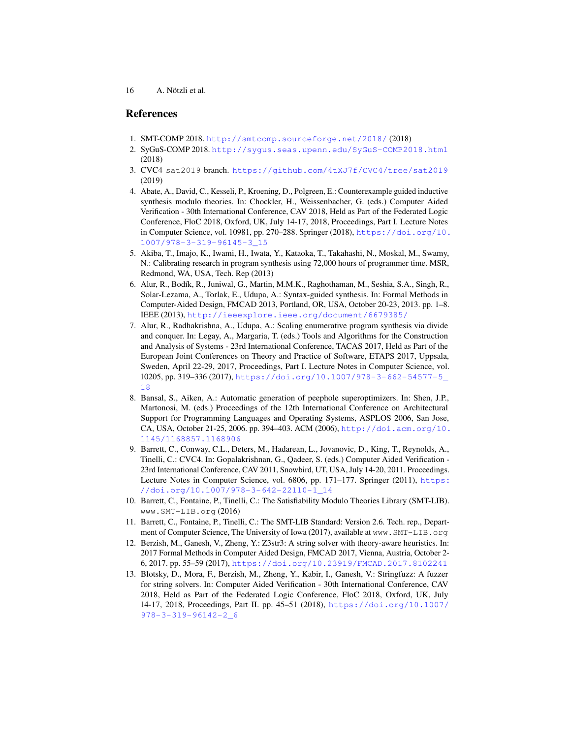# References

- <span id="page-15-7"></span>1. SMT-COMP 2018. <http://smtcomp.sourceforge.net/2018/> (2018)
- <span id="page-15-8"></span>2. SyGuS-COMP 2018. <http://sygus.seas.upenn.edu/SyGuS-COMP2018.html> (2018)
- <span id="page-15-4"></span>3. CVC4 sat2019 branch. <https://github.com/4tXJ7f/CVC4/tree/sat2019> (2019)
- <span id="page-15-9"></span>4. Abate, A., David, C., Kesseli, P., Kroening, D., Polgreen, E.: Counterexample guided inductive synthesis modulo theories. In: Chockler, H., Weissenbacher, G. (eds.) Computer Aided Verification - 30th International Conference, CAV 2018, Held as Part of the Federated Logic Conference, FloC 2018, Oxford, UK, July 14-17, 2018, Proceedings, Part I. Lecture Notes in Computer Science, vol. 10981, pp. 270–288. Springer (2018), [https://doi.org/10.](https://doi.org/10.1007/978-3-319-96145-3_15) [1007/978-3-319-96145-3\\_15](https://doi.org/10.1007/978-3-319-96145-3_15)
- <span id="page-15-10"></span>5. Akiba, T., Imajo, K., Iwami, H., Iwata, Y., Kataoka, T., Takahashi, N., Moskal, M., Swamy, N.: Calibrating research in program synthesis using 72,000 hours of programmer time. MSR, Redmond, WA, USA, Tech. Rep (2013)
- <span id="page-15-0"></span>6. Alur, R., Bod´ık, R., Juniwal, G., Martin, M.M.K., Raghothaman, M., Seshia, S.A., Singh, R., Solar-Lezama, A., Torlak, E., Udupa, A.: Syntax-guided synthesis. In: Formal Methods in Computer-Aided Design, FMCAD 2013, Portland, OR, USA, October 20-23, 2013. pp. 1–8. IEEE (2013), <http://ieeexplore.ieee.org/document/6679385/>
- <span id="page-15-3"></span>7. Alur, R., Radhakrishna, A., Udupa, A.: Scaling enumerative program synthesis via divide and conquer. In: Legay, A., Margaria, T. (eds.) Tools and Algorithms for the Construction and Analysis of Systems - 23rd International Conference, TACAS 2017, Held as Part of the European Joint Conferences on Theory and Practice of Software, ETAPS 2017, Uppsala, Sweden, April 22-29, 2017, Proceedings, Part I. Lecture Notes in Computer Science, vol. 10205, pp. 319–336 (2017), [https://doi.org/10.1007/978-3-662-54577-5\\_](https://doi.org/10.1007/978-3-662-54577-5_18) [18](https://doi.org/10.1007/978-3-662-54577-5_18)
- <span id="page-15-12"></span>8. Bansal, S., Aiken, A.: Automatic generation of peephole superoptimizers. In: Shen, J.P., Martonosi, M. (eds.) Proceedings of the 12th International Conference on Architectural Support for Programming Languages and Operating Systems, ASPLOS 2006, San Jose, CA, USA, October 21-25, 2006. pp. 394–403. ACM (2006), [http://doi.acm.org/10.](http://doi.acm.org/10.1145/1168857.1168906) [1145/1168857.1168906](http://doi.acm.org/10.1145/1168857.1168906)
- <span id="page-15-2"></span>9. Barrett, C., Conway, C.L., Deters, M., Hadarean, L., Jovanovic, D., King, T., Reynolds, A., Tinelli, C.: CVC4. In: Gopalakrishnan, G., Qadeer, S. (eds.) Computer Aided Verification - 23rd International Conference, CAV 2011, Snowbird, UT, USA, July 14-20, 2011. Proceedings. Lecture Notes in Computer Science, vol. 6806, pp. 171–177. Springer (2011), [https:](https://doi.org/10.1007/978-3-642-22110-1_14) [//doi.org/10.1007/978-3-642-22110-1\\_14](https://doi.org/10.1007/978-3-642-22110-1_14)
- <span id="page-15-11"></span>10. Barrett, C., Fontaine, P., Tinelli, C.: The Satisfiability Modulo Theories Library (SMT-LIB). www.SMT-LIB.org (2016)
- <span id="page-15-1"></span>11. Barrett, C., Fontaine, P., Tinelli, C.: The SMT-LIB Standard: Version 2.6. Tech. rep., Department of Computer Science, The University of Iowa (2017), available at www.SMT-LIB.org
- <span id="page-15-6"></span>12. Berzish, M., Ganesh, V., Zheng, Y.: Z3str3: A string solver with theory-aware heuristics. In: 2017 Formal Methods in Computer Aided Design, FMCAD 2017, Vienna, Austria, October 2- 6, 2017. pp. 55–59 (2017), <https://doi.org/10.23919/FMCAD.2017.8102241>
- <span id="page-15-5"></span>13. Blotsky, D., Mora, F., Berzish, M., Zheng, Y., Kabir, I., Ganesh, V.: Stringfuzz: A fuzzer for string solvers. In: Computer Aided Verification - 30th International Conference, CAV 2018, Held as Part of the Federated Logic Conference, FloC 2018, Oxford, UK, July 14-17, 2018, Proceedings, Part II. pp. 45–51 (2018), [https://doi.org/10.1007/](https://doi.org/10.1007/978-3-319-96142-2_6) [978-3-319-96142-2\\_6](https://doi.org/10.1007/978-3-319-96142-2_6)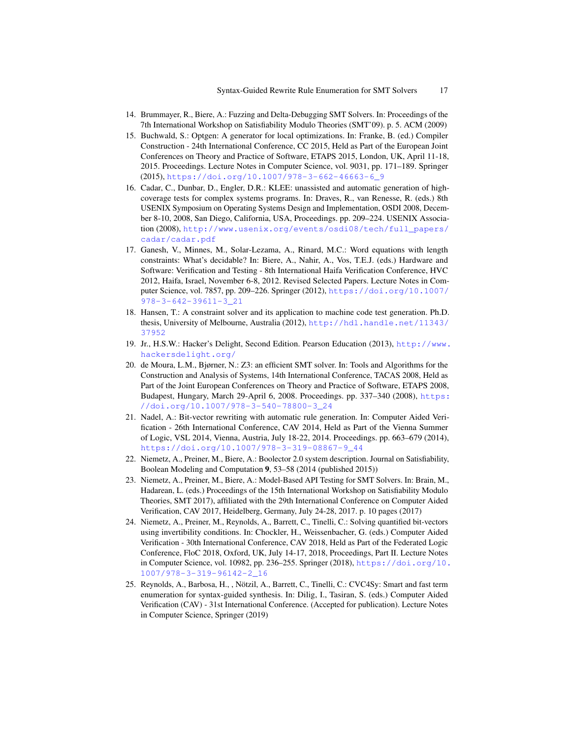- <span id="page-16-2"></span>14. Brummayer, R., Biere, A.: Fuzzing and Delta-Debugging SMT Solvers. In: Proceedings of the 7th International Workshop on Satisfiability Modulo Theories (SMT'09). p. 5. ACM (2009)
- <span id="page-16-10"></span>15. Buchwald, S.: Optgen: A generator for local optimizations. In: Franke, B. (ed.) Compiler Construction - 24th International Conference, CC 2015, Held as Part of the European Joint Conferences on Theory and Practice of Software, ETAPS 2015, London, UK, April 11-18, 2015. Proceedings. Lecture Notes in Computer Science, vol. 9031, pp. 171–189. Springer (2015), [https://doi.org/10.1007/978-3-662-46663-6\\_9](https://doi.org/10.1007/978-3-662-46663-6_9)
- <span id="page-16-11"></span>16. Cadar, C., Dunbar, D., Engler, D.R.: KLEE: unassisted and automatic generation of highcoverage tests for complex systems programs. In: Draves, R., van Renesse, R. (eds.) 8th USENIX Symposium on Operating Systems Design and Implementation, OSDI 2008, December 8-10, 2008, San Diego, California, USA, Proceedings. pp. 209–224. USENIX Association (2008), [http://www.usenix.org/events/osdi08/tech/full\\_papers/](http://www.usenix.org/events/osdi08/tech/full_papers/cadar/cadar.pdf) [cadar/cadar.pdf](http://www.usenix.org/events/osdi08/tech/full_papers/cadar/cadar.pdf)
- <span id="page-16-1"></span>17. Ganesh, V., Minnes, M., Solar-Lezama, A., Rinard, M.C.: Word equations with length constraints: What's decidable? In: Biere, A., Nahir, A., Vos, T.E.J. (eds.) Hardware and Software: Verification and Testing - 8th International Haifa Verification Conference, HVC 2012, Haifa, Israel, November 6-8, 2012. Revised Selected Papers. Lecture Notes in Computer Science, vol. 7857, pp. 209–226. Springer (2012), [https://doi.org/10.1007/](https://doi.org/10.1007/978-3-642-39611-3_21) [978-3-642-39611-3\\_21](https://doi.org/10.1007/978-3-642-39611-3_21)
- <span id="page-16-8"></span>18. Hansen, T.: A constraint solver and its application to machine code test generation. Ph.D. thesis, University of Melbourne, Australia (2012), [http://hdl.handle.net/11343/](http://hdl.handle.net/11343/37952) [37952](http://hdl.handle.net/11343/37952)
- <span id="page-16-7"></span>19. Jr., H.S.W.: Hacker's Delight, Second Edition. Pearson Education (2013), [http://www.](http://www.hackersdelight.org/) [hackersdelight.org/](http://www.hackersdelight.org/)
- <span id="page-16-4"></span>20. de Moura, L.M., Bjørner, N.: Z3: an efficient SMT solver. In: Tools and Algorithms for the Construction and Analysis of Systems, 14th International Conference, TACAS 2008, Held as Part of the Joint European Conferences on Theory and Practice of Software, ETAPS 2008, Budapest, Hungary, March 29-April 6, 2008. Proceedings. pp. 337–340 (2008), [https:](https://doi.org/10.1007/978-3-540-78800-3_24) [//doi.org/10.1007/978-3-540-78800-3\\_24](https://doi.org/10.1007/978-3-540-78800-3_24)
- <span id="page-16-9"></span>21. Nadel, A.: Bit-vector rewriting with automatic rule generation. In: Computer Aided Verification - 26th International Conference, CAV 2014, Held as Part of the Vienna Summer of Logic, VSL 2014, Vienna, Austria, July 18-22, 2014. Proceedings. pp. 663–679 (2014), [https://doi.org/10.1007/978-3-319-08867-9\\_44](https://doi.org/10.1007/978-3-319-08867-9_44)
- <span id="page-16-5"></span>22. Niemetz, A., Preiner, M., Biere, A.: Boolector 2.0 system description. Journal on Satisfiability, Boolean Modeling and Computation 9, 53–58 (2014 (published 2015))
- <span id="page-16-3"></span>23. Niemetz, A., Preiner, M., Biere, A.: Model-Based API Testing for SMT Solvers. In: Brain, M., Hadarean, L. (eds.) Proceedings of the 15th International Workshop on Satisfiability Modulo Theories, SMT 2017), affiliated with the 29th International Conference on Computer Aided Verification, CAV 2017, Heidelberg, Germany, July 24-28, 2017. p. 10 pages (2017)
- <span id="page-16-6"></span>24. Niemetz, A., Preiner, M., Reynolds, A., Barrett, C., Tinelli, C.: Solving quantified bit-vectors using invertibility conditions. In: Chockler, H., Weissenbacher, G. (eds.) Computer Aided Verification - 30th International Conference, CAV 2018, Held as Part of the Federated Logic Conference, FloC 2018, Oxford, UK, July 14-17, 2018, Proceedings, Part II. Lecture Notes in Computer Science, vol. 10982, pp. 236–255. Springer (2018), [https://doi.org/10.](https://doi.org/10.1007/978-3-319-96142-2_16) [1007/978-3-319-96142-2\\_16](https://doi.org/10.1007/978-3-319-96142-2_16)
- <span id="page-16-0"></span>25. Reynolds, A., Barbosa, H., , Notzil, A., Barrett, C., Tinelli, C.: CVC4Sy: Smart and fast term ¨ enumeration for syntax-guided synthesis. In: Dilig, I., Tasiran, S. (eds.) Computer Aided Verification (CAV) - 31st International Conference. (Accepted for publication). Lecture Notes in Computer Science, Springer (2019)